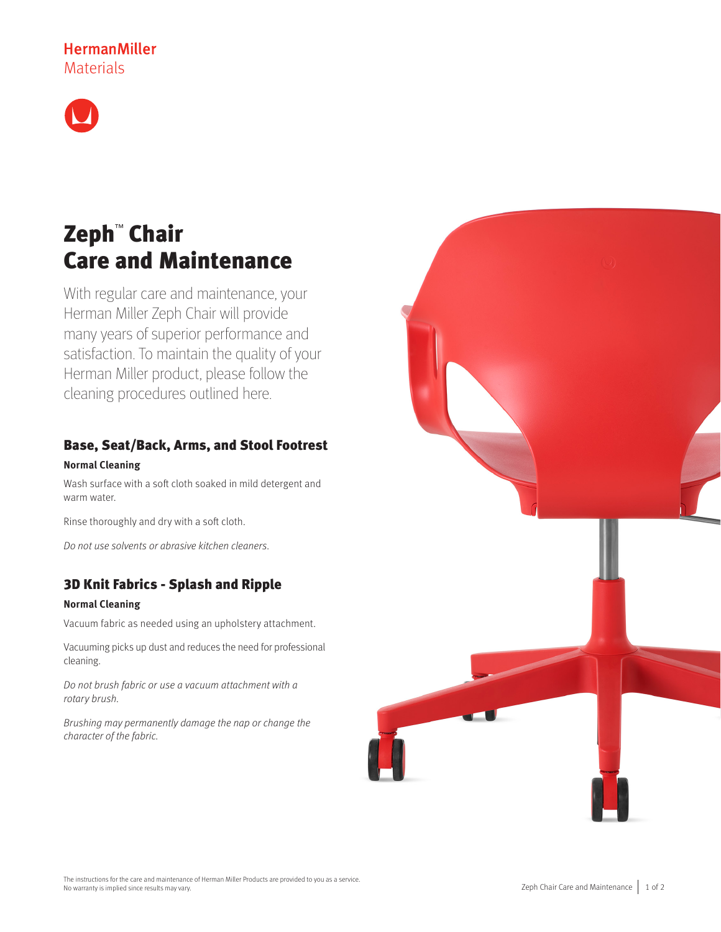## **HermanMiller** Materials



# Zeph™ Chair Care and Maintenance

With regular care and maintenance, your Herman Miller Zeph Chair will provide many years of superior performance and satisfaction. To maintain the quality of your Herman Miller product, please follow the cleaning procedures outlined here.

# Base, Seat/Back, Arms, and Stool Footrest

### **Normal Cleaning**

Wash surface with a soft cloth soaked in mild detergent and warm water.

Rinse thoroughly and dry with a soft cloth.

Do not use solvents or abrasive kitchen cleaners.

### 3D Knit Fabrics - Splash and Ripple

### **Normal Cleaning**

Vacuum fabric as needed using an upholstery attachment.

Vacuuming picks up dust and reduces the need for professional cleaning.

Do not brush fabric or use a vacuum attachment with a rotary brush.

Brushing may permanently damage the nap or change the character of the fabric.